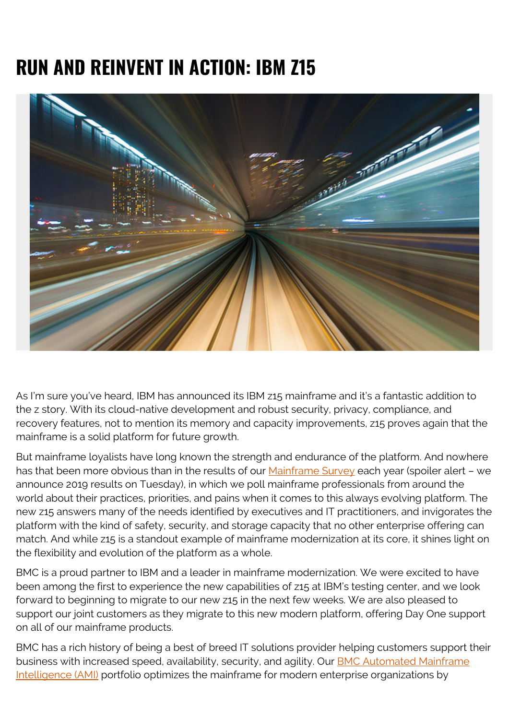## **RUN AND REINVENT IN ACTION: IBM Z15**



As I'm sure you've heard, IBM has announced its IBM z15 mainframe and it's a fantastic addition to the z story. With its cloud-native development and robust security, privacy, compliance, and recovery features, not to mention its memory and capacity improvements, z15 proves again that the mainframe is a solid platform for future growth.

But mainframe loyalists have long known the strength and endurance of the platform. And nowhere has that been more obvious than in the results of our [Mainframe Survey](https://www.bmc.com/info/mainframe-survey.html) each year (spoiler alert - we announce 2019 results on Tuesday), in which we poll mainframe professionals from around the world about their practices, priorities, and pains when it comes to this always evolving platform. The new z15 answers many of the needs identified by executives and IT practitioners, and invigorates the platform with the kind of safety, security, and storage capacity that no other enterprise offering can match. And while z15 is a standout example of mainframe modernization at its core, it shines light on the flexibility and evolution of the platform as a whole.

BMC is a proud partner to IBM and a leader in mainframe modernization. We were excited to have been among the first to experience the new capabilities of z15 at IBM's testing center, and we look forward to beginning to migrate to our new z15 in the next few weeks. We are also pleased to support our joint customers as they migrate to this new modern platform, offering Day One support on all of our mainframe products.

BMC has a rich history of being a best of breed IT solutions provider helping customers support their business with increased speed, availability, security, and agility. Our **[BMC Automated Mainframe](https://www.bmc.com/it-solutions/bmc-ami-automated-mainframe-intelligence.html)** [Intelligence \(AMI\)](https://www.bmc.com/it-solutions/bmc-ami-automated-mainframe-intelligence.html) portfolio optimizes the mainframe for modern enterprise organizations by